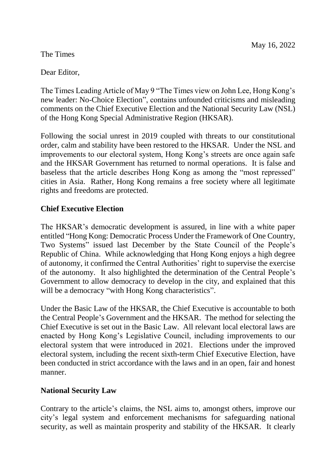## The Times

Dear Editor,

The Times Leading Article of May 9 "The Times view on John Lee, Hong Kong's new leader: No-Choice Election", contains unfounded criticisms and misleading comments on the Chief Executive Election and the National Security Law (NSL) of the Hong Kong Special Administrative Region (HKSAR).

Following the social unrest in 2019 coupled with threats to our constitutional order, calm and stability have been restored to the HKSAR. Under the NSL and improvements to our electoral system, Hong Kong's streets are once again safe and the HKSAR Government has returned to normal operations. It is false and baseless that the article describes Hong Kong as among the "most repressed" cities in Asia. Rather, Hong Kong remains a free society where all legitimate rights and freedoms are protected.

## **Chief Executive Election**

The HKSAR's democratic development is assured, in line with a white paper entitled "Hong Kong: Democratic Process Under the Framework of One Country, Two Systems" issued last December by the State Council of the People's Republic of China. While acknowledging that Hong Kong enjoys a high degree of autonomy, it confirmed the Central Authorities' right to supervise the exercise of the autonomy. It also highlighted the determination of the Central People's Government to allow democracy to develop in the city, and explained that this will be a democracy "with Hong Kong characteristics".

Under the Basic Law of the HKSAR, the Chief Executive is accountable to both the Central People's Government and the HKSAR. The method for selecting the Chief Executive is set out in the Basic Law. All relevant local electoral laws are enacted by Hong Kong's Legislative Council, including improvements to our electoral system that were introduced in 2021. Elections under the improved electoral system, including the recent sixth-term Chief Executive Election, have been conducted in strict accordance with the laws and in an open, fair and honest manner.

## **National Security Law**

Contrary to the article's claims, the NSL aims to, amongst others, improve our city's legal system and enforcement mechanisms for safeguarding national security, as well as maintain prosperity and stability of the HKSAR. It clearly